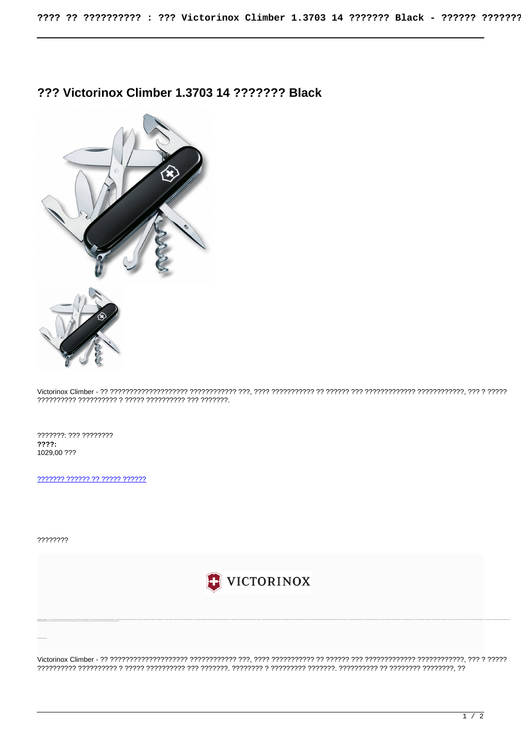## ??? Victorinox Climber 1.3703 14 ??????? Black



???????: ??? ????????  $777?:$ 1029,00 ???

2222222 222222 22 22222 222222

????????